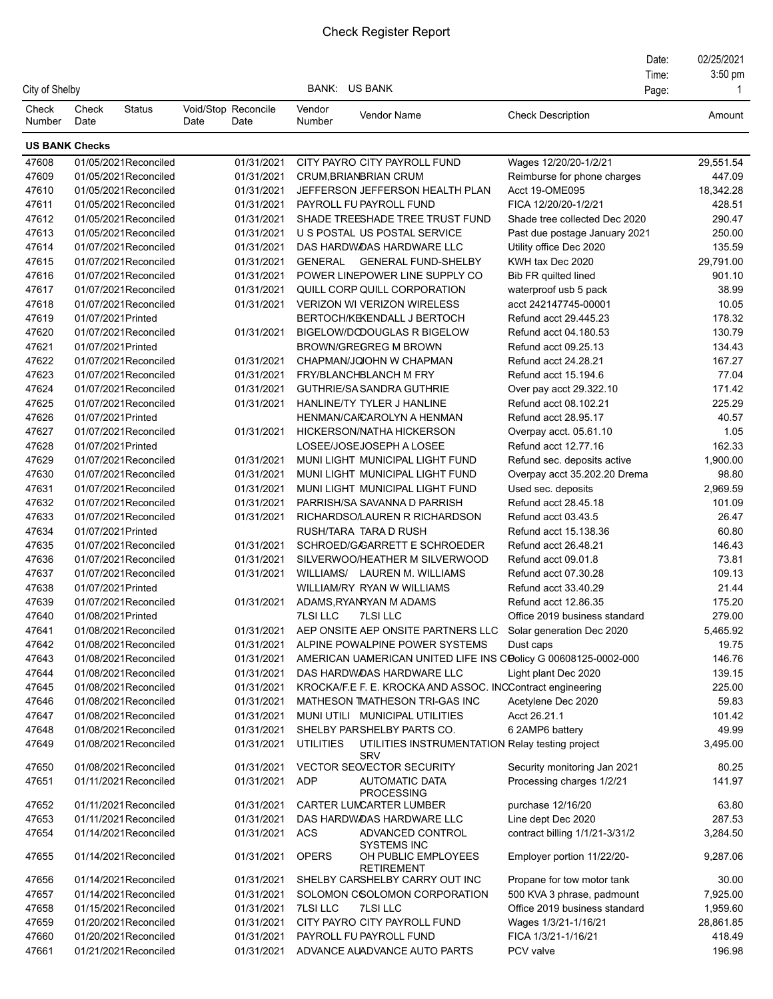## Check Register Report

| City of Shelby        |               |                                                |      |                             |                  | BANK: US BANK                                                         |                                                                | Date:<br>Time:<br>Page: | 02/25/2021<br>$3:50$ pm<br>-1 |
|-----------------------|---------------|------------------------------------------------|------|-----------------------------|------------------|-----------------------------------------------------------------------|----------------------------------------------------------------|-------------------------|-------------------------------|
| Check<br>Number       | Check<br>Date | <b>Status</b>                                  | Date | Void/Stop Reconcile<br>Date | Vendor<br>Number | <b>Vendor Name</b>                                                    | <b>Check Description</b>                                       |                         | Amount                        |
| <b>US BANK Checks</b> |               |                                                |      |                             |                  |                                                                       |                                                                |                         |                               |
| 47608                 |               | 01/05/2021Reconciled                           |      | 01/31/2021                  |                  | CITY PAYRO CITY PAYROLL FUND                                          | Wages 12/20/20-1/2/21                                          |                         | 29,551.54                     |
| 47609                 |               | 01/05/2021Reconciled                           |      | 01/31/2021                  |                  | <b>CRUM.BRIANBRIAN CRUM</b>                                           | Reimburse for phone charges                                    |                         | 447.09                        |
| 47610                 |               | 01/05/2021Reconciled                           |      | 01/31/2021                  |                  | JEFFERSON JEFFERSON HEALTH PLAN                                       | Acct 19-OME095                                                 |                         | 18,342.28                     |
| 47611                 |               | 01/05/2021Reconciled                           |      | 01/31/2021                  |                  | PAYROLL FU PAYROLL FUND                                               | FICA 12/20/20-1/2/21                                           |                         | 428.51                        |
| 47612                 |               | 01/05/2021Reconciled                           |      | 01/31/2021                  |                  | SHADE TREESHADE TREE TRUST FUND                                       | Shade tree collected Dec 2020                                  |                         | 290.47                        |
| 47613                 |               | 01/05/2021Reconciled                           |      | 01/31/2021                  |                  | U S POSTAL US POSTAL SERVICE                                          | Past due postage January 2021                                  |                         | 250.00                        |
| 47614                 |               | 01/07/2021Reconciled                           |      | 01/31/2021                  |                  | DAS HARDWOAS HARDWARE LLC                                             | Utility office Dec 2020                                        |                         | 135.59                        |
| 47615                 |               | 01/07/2021Reconciled                           |      | 01/31/2021                  |                  | GENERAL GENERAL FUND-SHELBY                                           | KWH tax Dec 2020                                               |                         | 29,791.00                     |
| 47616                 |               | 01/07/2021Reconciled                           |      | 01/31/2021                  |                  | POWER LINEPOWER LINE SUPPLY CO                                        | Bib FR quilted lined                                           |                         | 901.10                        |
| 47617                 |               | 01/07/2021Reconciled                           |      | 01/31/2021                  |                  | QUILL CORP QUILL CORPORATION                                          | waterproof usb 5 pack                                          |                         | 38.99                         |
| 47618                 |               | 01/07/2021Reconciled                           |      | 01/31/2021                  |                  | <b>VERIZON WI VERIZON WIRELESS</b>                                    | acct 242147745-00001                                           |                         | 10.05                         |
| 47619                 |               | 01/07/2021Printed                              |      |                             |                  | BERTOCH/KEKENDALL J BERTOCH                                           | Refund acct 29.445.23                                          |                         | 178.32                        |
| 47620                 |               | 01/07/2021Reconciled                           |      | 01/31/2021                  |                  | BIGELOW/DODOUGLAS R BIGELOW                                           | Refund acct 04.180.53                                          |                         | 130.79                        |
| 47621                 |               | 01/07/2021Printed                              |      |                             |                  | <b>BROWN/GREGREG M BROWN</b>                                          | Refund acct 09.25.13                                           |                         | 134.43                        |
| 47622                 |               | 01/07/2021Reconciled                           |      | 01/31/2021                  |                  | CHAPMAN/JQJOHN W CHAPMAN                                              | Refund acct 24.28.21                                           |                         | 167.27                        |
| 47623                 |               | 01/07/2021Reconciled                           |      | 01/31/2021                  |                  | FRY/BLANCHBLANCH M FRY                                                | Refund acct 15.194.6                                           |                         | 77.04                         |
| 47624                 |               | 01/07/2021Reconciled                           |      | 01/31/2021                  |                  | GUTHRIE/SASANDRA GUTHRIE                                              | Over pay acct 29.322.10                                        |                         | 171.42                        |
| 47625                 |               | 01/07/2021Reconciled                           |      | 01/31/2021                  |                  | HANLINE/TY TYLER J HANLINE                                            | Refund acct 08.102.21                                          |                         | 225.29                        |
| 47626                 |               | 01/07/2021Printed                              |      |                             |                  | HENMAN/CAICAROLYN A HENMAN                                            | Refund acct 28.95.17                                           |                         | 40.57                         |
| 47627                 |               | 01/07/2021Reconciled                           |      | 01/31/2021                  |                  | HICKERSON/NATHA HICKERSON                                             | Overpay acct. 05.61.10                                         |                         | 1.05                          |
| 47628                 |               | 01/07/2021Printed                              |      |                             |                  | LOSEE/JOSEJOSEPH A LOSEE                                              | Refund acct 12.77.16                                           |                         | 162.33                        |
| 47629                 |               | 01/07/2021Reconciled                           |      | 01/31/2021                  |                  | MUNI LIGHT MUNICIPAL LIGHT FUND                                       | Refund sec. deposits active                                    |                         | 1,900.00                      |
| 47630                 |               | 01/07/2021Reconciled                           |      | 01/31/2021                  |                  | MUNI LIGHT MUNICIPAL LIGHT FUND                                       | Overpay acct 35.202.20 Drema                                   |                         | 98.80                         |
| 47631                 |               | 01/07/2021Reconciled                           |      | 01/31/2021                  |                  | MUNI LIGHT MUNICIPAL LIGHT FUND                                       | Used sec. deposits                                             |                         | 2,969.59                      |
| 47632                 |               | 01/07/2021Reconciled                           |      | 01/31/2021                  |                  | PARRISH/SA SAVANNA D PARRISH                                          | Refund acct 28.45.18                                           |                         | 101.09                        |
| 47633                 |               | 01/07/2021Reconciled                           |      | 01/31/2021                  |                  | RICHARDSO/LAUREN R RICHARDSON                                         | Refund acct 03.43.5                                            |                         | 26.47                         |
| 47634                 |               | 01/07/2021Printed                              |      |                             |                  | RUSH/TARA TARA D RUSH                                                 | Refund acct 15.138.36                                          |                         | 60.80                         |
| 47635                 |               | 01/07/2021Reconciled                           |      | 01/31/2021                  |                  | SCHROED/G/GARRETT E SCHROEDER                                         | Refund acct 26.48.21                                           |                         | 146.43                        |
| 47636                 |               | 01/07/2021 Reconciled                          |      | 01/31/2021                  |                  | SILVERWOO/HEATHER M SILVERWOOD                                        | Refund acct 09.01.8                                            |                         | 73.81                         |
| 47637                 |               | 01/07/2021Reconciled                           |      | 01/31/2021                  |                  | WILLIAMS/ LAUREN M. WILLIAMS                                          | Refund acct 07.30.28                                           |                         | 109.13                        |
| 47638                 |               | 01/07/2021Printed                              |      |                             |                  | WILLIAM/RY RYAN W WILLIAMS                                            | Refund acct 33.40.29                                           |                         | 21.44                         |
| 47639                 |               | 01/07/2021 Reconciled                          |      | 01/31/2021                  |                  | ADAMS, RYANRYAN M ADAMS                                               | Refund acct 12.86.35                                           |                         | 175.20                        |
| 47640                 |               | 01/08/2021Printed                              |      |                             | <b>7LSI LLC</b>  | <b>7LSI LLC</b>                                                       | Office 2019 business standard                                  |                         | 279.00                        |
| 47641                 |               | 01/08/2021Reconciled                           |      | 01/31/2021                  |                  | AEP ONSITE AEP ONSITE PARTNERS LLC                                    | Solar generation Dec 2020                                      |                         | 5,465.92                      |
| 47642                 |               | 01/08/2021Reconciled                           |      | 01/31/2021                  |                  | ALPINE POWALPINE POWER SYSTEMS                                        | Dust caps                                                      |                         | 19.75                         |
| 47643                 |               | 01/08/2021Reconciled                           |      | 01/31/2021                  |                  |                                                                       | AMERICAN UAMERICAN UNITED LIFE INS COOlicy G 00608125-0002-000 |                         | 146.76                        |
| 47644                 |               | 01/08/2021Reconciled                           |      | 01/31/2021                  |                  | DAS HARDWOAS HARDWARE LLC                                             | Light plant Dec 2020                                           |                         | 139.15                        |
| 47645                 |               | 01/08/2021Reconciled                           |      | 01/31/2021                  |                  |                                                                       | KROCKA/F.E F. E. KROCKA AND ASSOC. INCContract engineering     |                         | 225.00                        |
| 47646                 |               | 01/08/2021Reconciled                           |      | 01/31/2021                  |                  | MATHESON TMATHESON TRI-GAS INC                                        | Acetylene Dec 2020                                             |                         | 59.83                         |
| 47647                 |               | 01/08/2021Reconciled                           |      | 01/31/2021                  |                  | MUNI UTILI MUNICIPAL UTILITIES                                        | Acct 26.21.1                                                   |                         | 101.42                        |
| 47648                 |               | 01/08/2021Reconciled                           |      | 01/31/2021                  |                  | SHELBY PARSHELBY PARTS CO.                                            | 6 2AMP6 battery                                                |                         | 49.99                         |
| 47649                 |               | 01/08/2021Reconciled                           |      | 01/31/2021                  | UTILITIES        | <b>SRV</b>                                                            | UTILITIES INSTRUMENTATION Relay testing project                |                         | 3,495.00                      |
| 47650                 |               | 01/08/2021Reconciled                           |      | 01/31/2021                  |                  | VECTOR SECVECTOR SECURITY                                             | Security monitoring Jan 2021                                   |                         | 80.25                         |
| 47651<br>47652        |               | 01/11/2021 Reconciled<br>01/11/2021 Reconciled |      | 01/31/2021<br>01/31/2021    | <b>ADP</b>       | <b>AUTOMATIC DATA</b><br><b>PROCESSING</b><br>CARTER LUMCARTER LUMBER | Processing charges 1/2/21<br>purchase 12/16/20                 |                         | 141.97<br>63.80               |
| 47653                 |               | 01/11/2021 Reconciled                          |      | 01/31/2021                  |                  | DAS HARDWOAS HARDWARE LLC                                             | Line dept Dec 2020                                             |                         | 287.53                        |
| 47654                 |               | 01/14/2021Reconciled                           |      | 01/31/2021                  | ACS              | ADVANCED CONTROL<br><b>SYSTEMS INC</b>                                | contract billing 1/1/21-3/31/2                                 |                         | 3,284.50                      |
| 47655                 |               | 01/14/2021Reconciled                           |      | 01/31/2021                  | <b>OPERS</b>     | OH PUBLIC EMPLOYEES<br><b>RETIREMENT</b>                              | Employer portion 11/22/20-                                     |                         | 9,287.06                      |
| 47656                 |               | 01/14/2021Reconciled                           |      | 01/31/2021                  |                  | SHELBY CARSHELBY CARRY OUT INC                                        | Propane for tow motor tank                                     |                         | 30.00                         |
| 47657                 |               | 01/14/2021Reconciled                           |      | 01/31/2021                  |                  | SOLOMON CSOLOMON CORPORATION                                          | 500 KVA 3 phrase, padmount                                     |                         | 7,925.00                      |
| 47658                 |               | 01/15/2021Reconciled                           |      | 01/31/2021                  | <b>7LSI LLC</b>  | <b>7LSI LLC</b>                                                       | Office 2019 business standard                                  |                         | 1,959.60                      |
| 47659                 |               | 01/20/2021Reconciled                           |      | 01/31/2021                  |                  | CITY PAYRO CITY PAYROLL FUND                                          | Wages 1/3/21-1/16/21                                           |                         | 28,861.85                     |
| 47660                 |               | 01/20/2021Reconciled                           |      | 01/31/2021                  |                  | PAYROLL FU PAYROLL FUND                                               | FICA 1/3/21-1/16/21                                            |                         | 418.49                        |
| 47661                 |               | 01/21/2021Reconciled                           |      | 01/31/2021                  |                  | ADVANCE AUADVANCE AUTO PARTS                                          | PCV valve                                                      |                         | 196.98                        |